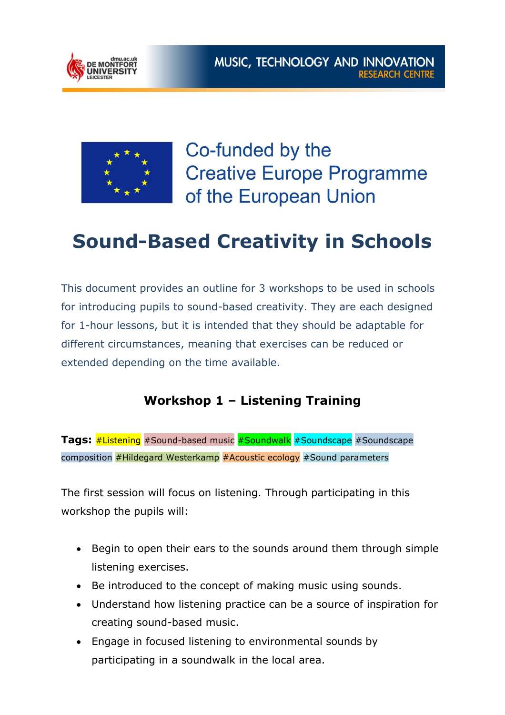



Co-funded by the **Creative Europe Programme** of the European Union

# **Sound-Based Creativity in Schools**

This document provides an outline for 3 workshops to be used in schools for introducing pupils to sound-based creativity. They are each designed for 1-hour lessons, but it is intended that they should be adaptable for different circumstances, meaning that exercises can be reduced or extended depending on the time available.

### **Workshop 1 – Listening Training**

**Tags:** #Listening #Sound-based music #Soundwalk #Soundscape #Soundscape composition  $#Hildegard$  Westerkamp  $#Acoustic$  ecology  $#Sound$  parameters

The first session will focus on listening. Through participating in this workshop the pupils will:

- Begin to open their ears to the sounds around them through simple listening exercises.
- Be introduced to the concept of making music using sounds.
- Understand how listening practice can be a source of inspiration for creating sound-based music.
- Engage in focused listening to environmental sounds by participating in a soundwalk in the local area.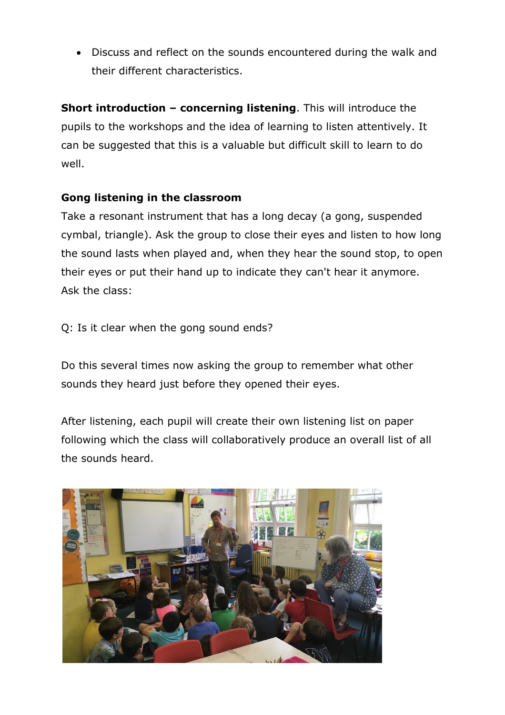Discuss and reflect on the sounds encountered during the walk and their different characteristics.

**Short introduction – concerning listening.** This will introduce the pupils to the workshops and the idea of learning to listen attentively. It can be suggested that this is a valuable but difficult skill to learn to do well.

#### **Gong listening in the classroom**

Take a resonant instrument that has a long decay (a gong, suspended cymbal, triangle). Ask the group to close their eyes and listen to how long the sound lasts when played and, when they hear the sound stop, to open their eyes or put their hand up to indicate they can't hear it anymore. Ask the class:

Q: Is it clear when the gong sound ends?

Do this several times now asking the group to remember what other sounds they heard just before they opened their eyes.

After listening, each pupil will create their own listening list on paper following which the class will collaboratively produce an overall list of all the sounds heard.

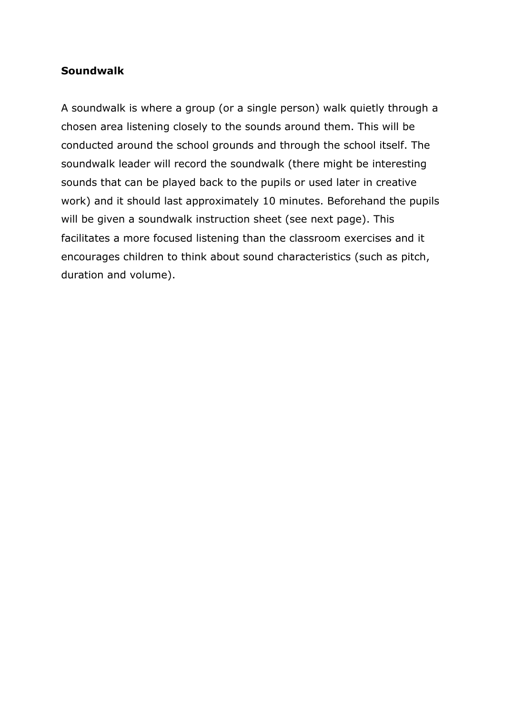#### **Soundwalk**

A soundwalk is where a group (or a single person) walk quietly through a chosen area listening closely to the sounds around them. This will be conducted around the school grounds and through the school itself. The soundwalk leader will record the soundwalk (there might be interesting sounds that can be played back to the pupils or used later in creative work) and it should last approximately 10 minutes. Beforehand the pupils will be given a soundwalk instruction sheet (see next page). This facilitates a more focused listening than the classroom exercises and it encourages children to think about sound characteristics (such as pitch, duration and volume).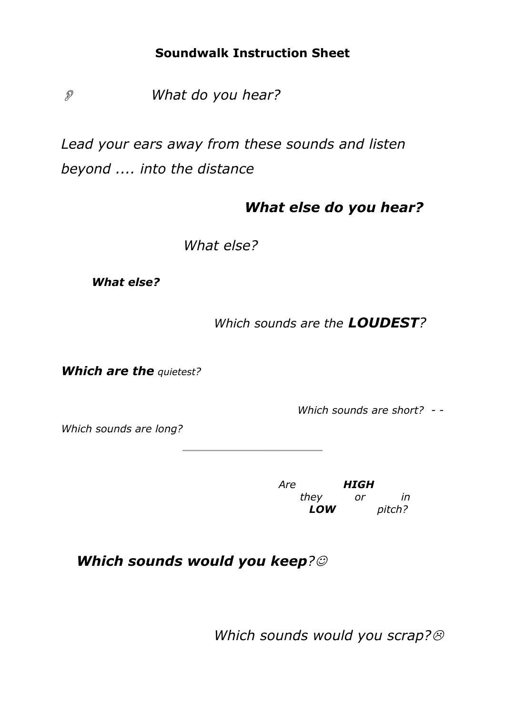### **Soundwalk Instruction Sheet**

 *What do you hear?* 

*Lead your ears away from these sounds and listen beyond .... into the distance*

## *What else do you hear?*

*What else?*

*What else?*

*Which sounds are the LOUDEST?*

*Which are the quietest?*

 *Which sounds are short? - -*

*Which sounds are long?*

*Are HIGH they or in LOW pitch?*

*Which sounds would you keep?*

*Which sounds would you scrap?*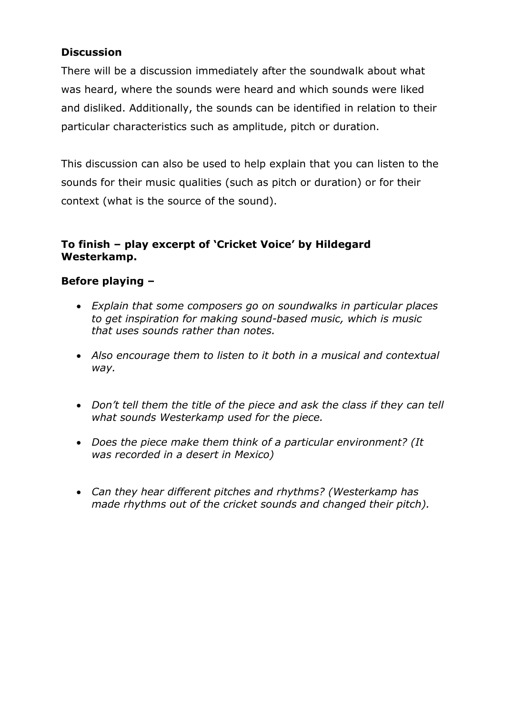#### **Discussion**

There will be a discussion immediately after the soundwalk about what was heard, where the sounds were heard and which sounds were liked and disliked. Additionally, the sounds can be identified in relation to their particular characteristics such as amplitude, pitch or duration.

This discussion can also be used to help explain that you can listen to the sounds for their music qualities (such as pitch or duration) or for their context (what is the source of the sound).

#### **To finish – play excerpt of 'Cricket Voice' by Hildegard Westerkamp.**

#### **Before playing –**

- *Explain that some composers go on soundwalks in particular places to get inspiration for making sound-based music, which is music that uses sounds rather than notes.*
- *Also encourage them to listen to it both in a musical and contextual way.*
- *Don't tell them the title of the piece and ask the class if they can tell what sounds Westerkamp used for the piece.*
- *Does the piece make them think of a particular environment? (It was recorded in a desert in Mexico)*
- *Can they hear different pitches and rhythms? (Westerkamp has made rhythms out of the cricket sounds and changed their pitch).*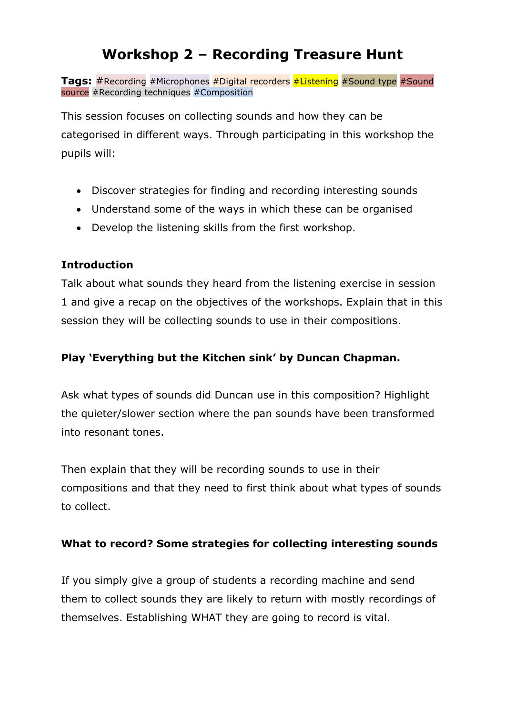# **Workshop 2 – Recording Treasure Hunt**

**Tags:** #Recording #Microphones #Digital recorders #Listening #Sound type #Sound source #Recording techniques #Composition

This session focuses on collecting sounds and how they can be categorised in different ways. Through participating in this workshop the pupils will:

- Discover strategies for finding and recording interesting sounds
- Understand some of the ways in which these can be organised
- Develop the listening skills from the first workshop.

### **Introduction**

Talk about what sounds they heard from the listening exercise in session 1 and give a recap on the objectives of the workshops. Explain that in this session they will be collecting sounds to use in their compositions.

### **Play 'Everything but the Kitchen sink' by Duncan Chapman.**

Ask what types of sounds did Duncan use in this composition? Highlight the quieter/slower section where the pan sounds have been transformed into resonant tones.

Then explain that they will be recording sounds to use in their compositions and that they need to first think about what types of sounds to collect.

#### **What to record? Some strategies for collecting interesting sounds**

If you simply give a group of students a recording machine and send them to collect sounds they are likely to return with mostly recordings of themselves. Establishing WHAT they are going to record is vital.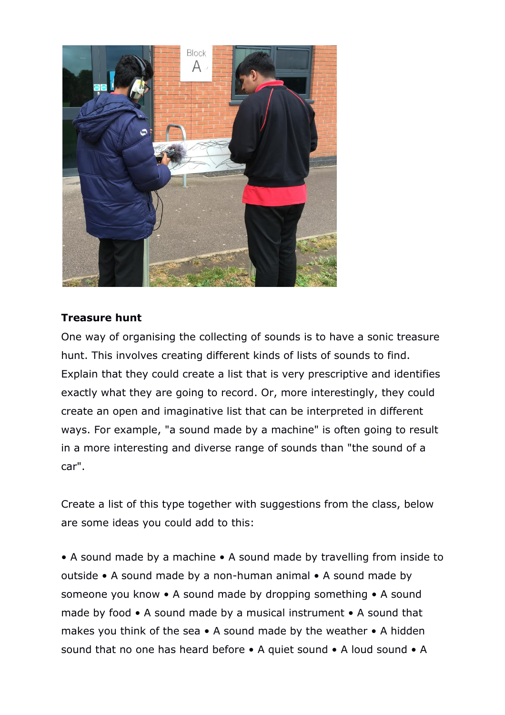

#### **Treasure hunt**

One way of organising the collecting of sounds is to have a sonic treasure hunt. This involves creating different kinds of lists of sounds to find. Explain that they could create a list that is very prescriptive and identifies exactly what they are going to record. Or, more interestingly, they could create an open and imaginative list that can be interpreted in different ways. For example, "a sound made by a machine" is often going to result in a more interesting and diverse range of sounds than "the sound of a car".

Create a list of this type together with suggestions from the class, below are some ideas you could add to this:

• A sound made by a machine • A sound made by travelling from inside to outside • A sound made by a non-human animal • A sound made by someone you know • A sound made by dropping something • A sound made by food • A sound made by a musical instrument • A sound that makes you think of the sea • A sound made by the weather • A hidden sound that no one has heard before • A quiet sound • A loud sound • A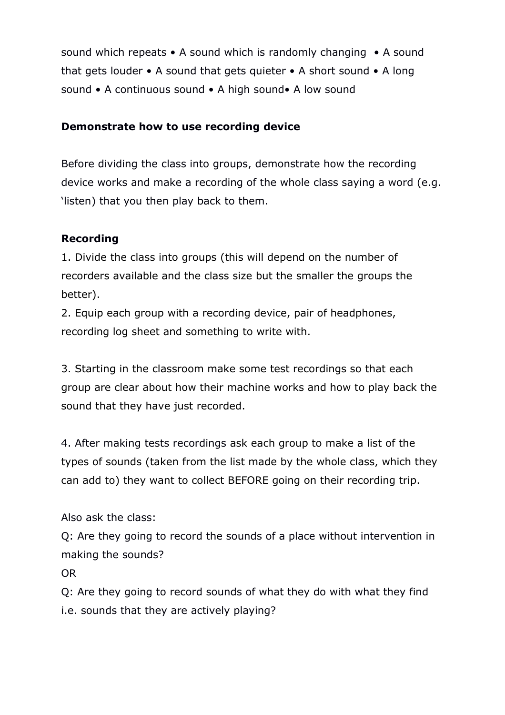sound which repeats • A sound which is randomly changing • A sound that gets louder • A sound that gets quieter • A short sound • A long sound • A continuous sound • A high sound• A low sound

#### **Demonstrate how to use recording device**

Before dividing the class into groups, demonstrate how the recording device works and make a recording of the whole class saying a word (e.g. 'listen) that you then play back to them.

#### **Recording**

1. Divide the class into groups (this will depend on the number of recorders available and the class size but the smaller the groups the better).

2. Equip each group with a recording device, pair of headphones, recording log sheet and something to write with.

3. Starting in the classroom make some test recordings so that each group are clear about how their machine works and how to play back the sound that they have just recorded.

4. After making tests recordings ask each group to make a list of the types of sounds (taken from the list made by the whole class, which they can add to) they want to collect BEFORE going on their recording trip.

Also ask the class:

Q: Are they going to record the sounds of a place without intervention in making the sounds?

OR

Q: Are they going to record sounds of what they do with what they find i.e. sounds that they are actively playing?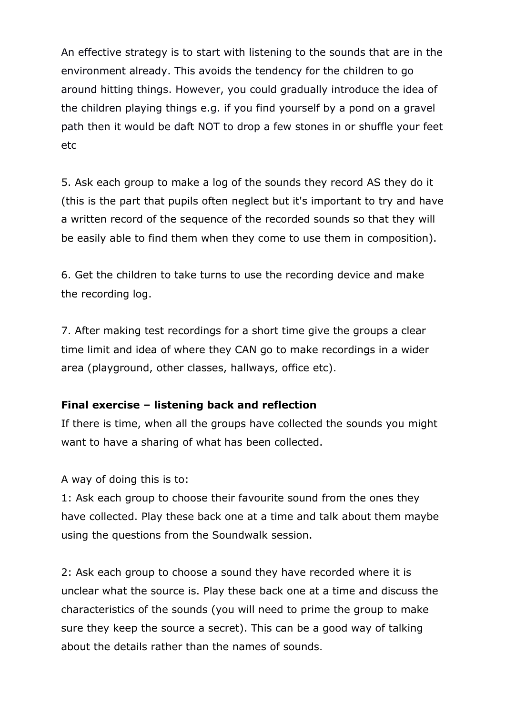An effective strategy is to start with listening to the sounds that are in the environment already. This avoids the tendency for the children to go around hitting things. However, you could gradually introduce the idea of the children playing things e.g. if you find yourself by a pond on a gravel path then it would be daft NOT to drop a few stones in or shuffle your feet etc

5. Ask each group to make a log of the sounds they record AS they do it (this is the part that pupils often neglect but it's important to try and have a written record of the sequence of the recorded sounds so that they will be easily able to find them when they come to use them in composition).

6. Get the children to take turns to use the recording device and make the recording log.

7. After making test recordings for a short time give the groups a clear time limit and idea of where they CAN go to make recordings in a wider area (playground, other classes, hallways, office etc).

#### **Final exercise – listening back and reflection**

If there is time, when all the groups have collected the sounds you might want to have a sharing of what has been collected.

A way of doing this is to:

1: Ask each group to choose their favourite sound from the ones they have collected. Play these back one at a time and talk about them maybe using the questions from the Soundwalk session.

2: Ask each group to choose a sound they have recorded where it is unclear what the source is. Play these back one at a time and discuss the characteristics of the sounds (you will need to prime the group to make sure they keep the source a secret). This can be a good way of talking about the details rather than the names of sounds.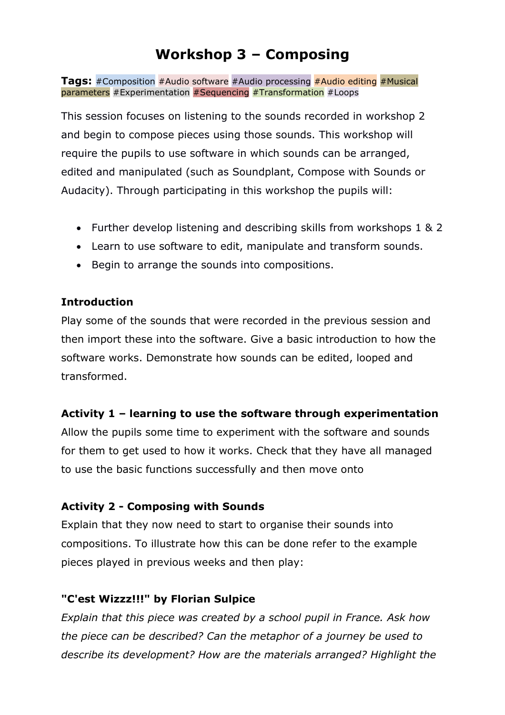# **Workshop 3 – Composing**

**Tags:** #Composition #Audio software #Audio processing #Audio editing #Musical parameters #Experimentation #Sequencing #Transformation #Loops

This session focuses on listening to the sounds recorded in workshop 2 and begin to compose pieces using those sounds. This workshop will require the pupils to use software in which sounds can be arranged, edited and manipulated (such as Soundplant, Compose with Sounds or Audacity). Through participating in this workshop the pupils will:

- Further develop listening and describing skills from workshops 1 & 2
- Learn to use software to edit, manipulate and transform sounds.
- Begin to arrange the sounds into compositions.

#### **Introduction**

Play some of the sounds that were recorded in the previous session and then import these into the software. Give a basic introduction to how the software works. Demonstrate how sounds can be edited, looped and transformed.

#### **Activity 1 – learning to use the software through experimentation**

Allow the pupils some time to experiment with the software and sounds for them to get used to how it works. Check that they have all managed to use the basic functions successfully and then move onto

#### **Activity 2 - Composing with Sounds**

Explain that they now need to start to organise their sounds into compositions. To illustrate how this can be done refer to the example pieces played in previous weeks and then play:

#### **"C'est Wizzz!!!" by Florian Sulpice**

*Explain that this piece was created by a school pupil in France. Ask how the piece can be described? Can the metaphor of a journey be used to describe its development? How are the materials arranged? Highlight the*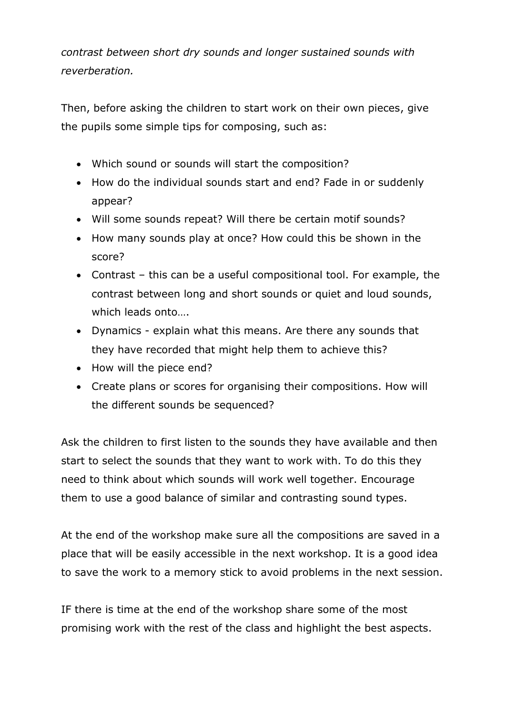*contrast between short dry sounds and longer sustained sounds with reverberation.*

Then, before asking the children to start work on their own pieces, give the pupils some simple tips for composing, such as:

- Which sound or sounds will start the composition?
- How do the individual sounds start and end? Fade in or suddenly appear?
- Will some sounds repeat? Will there be certain motif sounds?
- How many sounds play at once? How could this be shown in the score?
- Contrast this can be a useful compositional tool. For example, the contrast between long and short sounds or quiet and loud sounds, which leads onto….
- Dynamics explain what this means. Are there any sounds that they have recorded that might help them to achieve this?
- How will the piece end?
- Create plans or scores for organising their compositions. How will the different sounds be sequenced?

Ask the children to first listen to the sounds they have available and then start to select the sounds that they want to work with. To do this they need to think about which sounds will work well together. Encourage them to use a good balance of similar and contrasting sound types.

At the end of the workshop make sure all the compositions are saved in a place that will be easily accessible in the next workshop. It is a good idea to save the work to a memory stick to avoid problems in the next session.

IF there is time at the end of the workshop share some of the most promising work with the rest of the class and highlight the best aspects.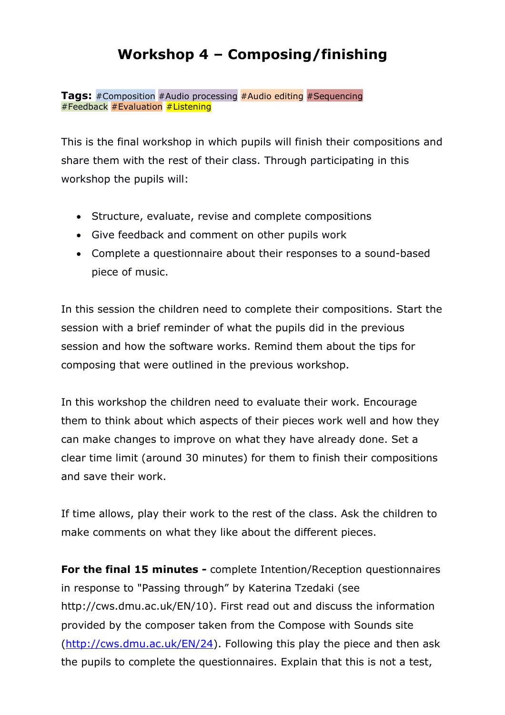# **Workshop 4 – Composing/finishing**

**Tags:** #Composition #Audio processing #Audio editing #Sequencing #Feedback #Evaluation  $#$ Listening

This is the final workshop in which pupils will finish their compositions and share them with the rest of their class. Through participating in this workshop the pupils will:

- Structure, evaluate, revise and complete compositions
- Give feedback and comment on other pupils work
- Complete a questionnaire about their responses to a sound-based piece of music.

In this session the children need to complete their compositions. Start the session with a brief reminder of what the pupils did in the previous session and how the software works. Remind them about the tips for composing that were outlined in the previous workshop.

In this workshop the children need to evaluate their work. Encourage them to think about which aspects of their pieces work well and how they can make changes to improve on what they have already done. Set a clear time limit (around 30 minutes) for them to finish their compositions and save their work.

If time allows, play their work to the rest of the class. Ask the children to make comments on what they like about the different pieces.

**For the final 15 minutes -** complete Intention/Reception questionnaires in response to "Passing through" by Katerina Tzedaki (see http://cws.dmu.ac.uk/EN/10). First read out and discuss the information provided by the composer taken from the Compose with Sounds site [\(http://cws.dmu.ac.uk/EN/24\)](http://cws.dmu.ac.uk/EN/24). Following this play the piece and then ask the pupils to complete the questionnaires. Explain that this is not a test,